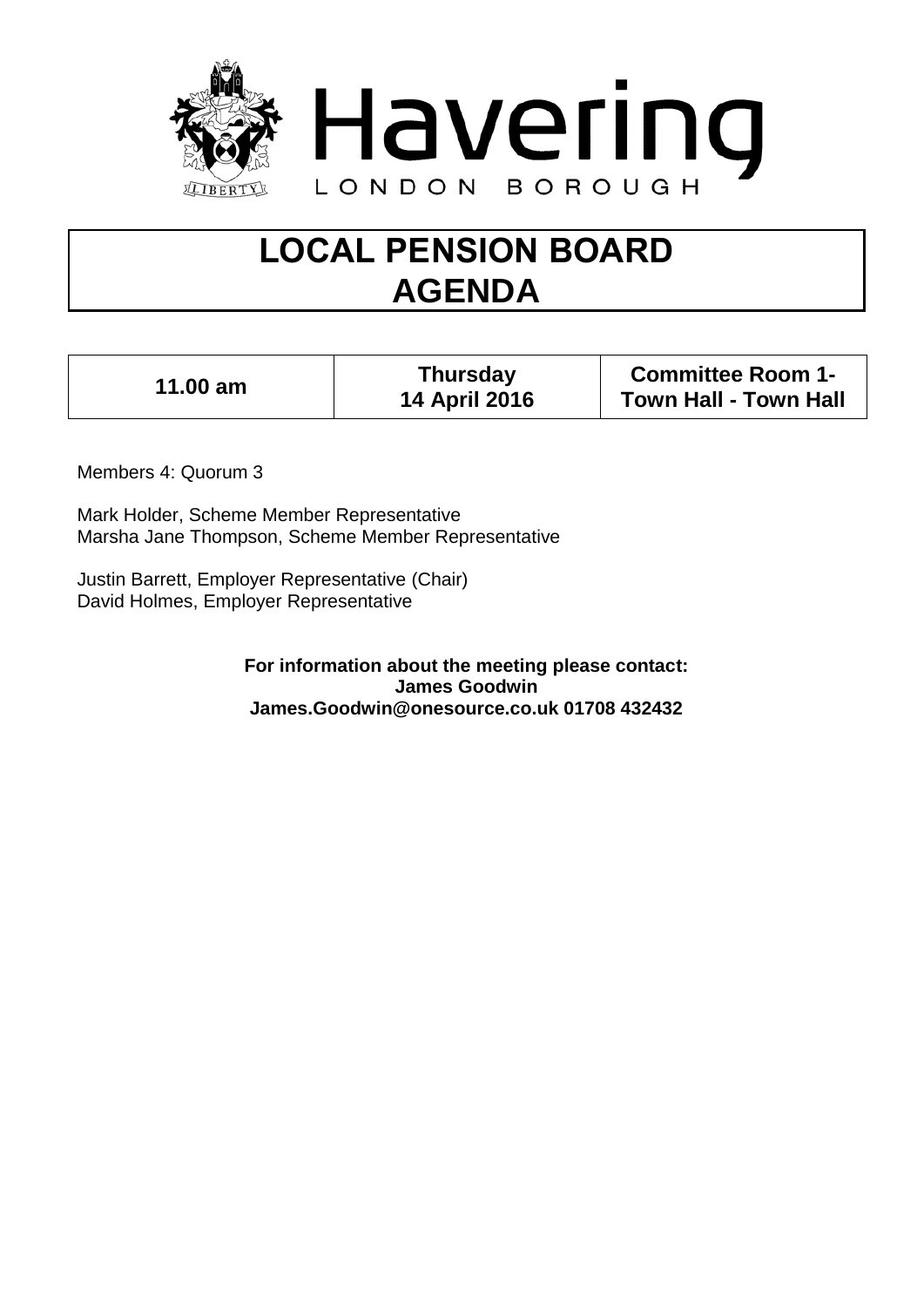

# **LOCAL PENSION BOARD AGENDA**

| $11.00$ am | <b>Thursday</b><br><b>14 April 2016</b> | <b>Committee Room 1-</b><br><b>Town Hall - Town Hall</b> |
|------------|-----------------------------------------|----------------------------------------------------------|
|------------|-----------------------------------------|----------------------------------------------------------|

Members 4: Quorum 3

Mark Holder, Scheme Member Representative Marsha Jane Thompson, Scheme Member Representative

Justin Barrett, Employer Representative (Chair) David Holmes, Employer Representative

> **For information about the meeting please contact: James Goodwin James.Goodwin@onesource.co.uk 01708 432432**